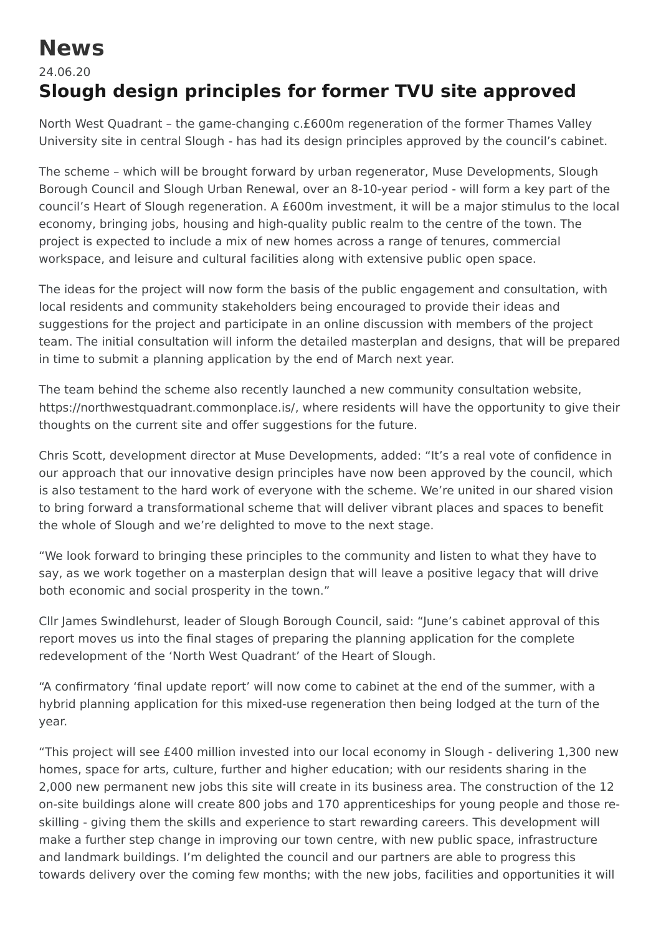## **News**

## 24.06.20 **Slough design principles for former TVU site approved**

North West Quadrant – the game-changing c.£600m regeneration of the former Thames Valley University site in central Slough - has had its design principles approved by the council's cabinet.

The scheme – which will be brought forward by urban regenerator, Muse Developments, Slough Borough Council and Slough Urban Renewal, over an 8-10-year period - will form a key part of the council's Heart of Slough regeneration. A £600m investment, it will be a major stimulus to the local economy, bringing jobs, housing and high-quality public realm to the centre of the town. The project is expected to include a mix of new homes across a range of tenures, commercial workspace, and leisure and cultural facilities along with extensive public open space.

The ideas for the project will now form the basis of the public engagement and consultation, with local residents and community stakeholders being encouraged to provide their ideas and suggestions for the project and participate in an online discussion with members of the project team. The initial consultation will inform the detailed masterplan and designs, that will be prepared in time to submit a planning application by the end of March next year.

The team behind the scheme also recently launched a new community consultation website, [https://northwestquadrant.commonplace.is/,](https://northwestquadrant.commonplace.is/) where residents will have the opportunity to give their thoughts on the current site and offer suggestions for the future.

Chris Scott, development director at Muse Developments, added: "It's a real vote of confidence in our approach that our innovative design principles have now been approved by the council, which is also testament to the hard work of everyone with the scheme. We're united in our shared vision to bring forward a transformational scheme that will deliver vibrant places and spaces to benefit the whole of Slough and we're delighted to move to the next stage.

"We look forward to bringing these principles to the community and listen to what they have to say, as we work together on a masterplan design that will leave a positive legacy that will drive both economic and social prosperity in the town."

Cllr James Swindlehurst, leader of Slough Borough Council, said: "June's cabinet approval of this report moves us into the final stages of preparing the planning application for the complete redevelopment of the 'North West Quadrant' of the Heart of Slough.

"A confirmatory 'final update report' will now come to cabinet at the end of the summer, with a hybrid planning application for this mixed-use regeneration then being lodged at the turn of the year.

"This project will see £400 million invested into our local economy in Slough - delivering 1,300 new homes, space for arts, culture, further and higher education; with our residents sharing in the 2,000 new permanent new jobs this site will create in its business area. The construction of the 12 on-site buildings alone will create 800 jobs and 170 apprenticeships for young people and those reskilling - giving them the skills and experience to start rewarding careers. This development will make a further step change in improving our town centre, with new public space, infrastructure and landmark buildings. I'm delighted the council and our partners are able to progress this towards delivery over the coming few months; with the new jobs, facilities and opportunities it will